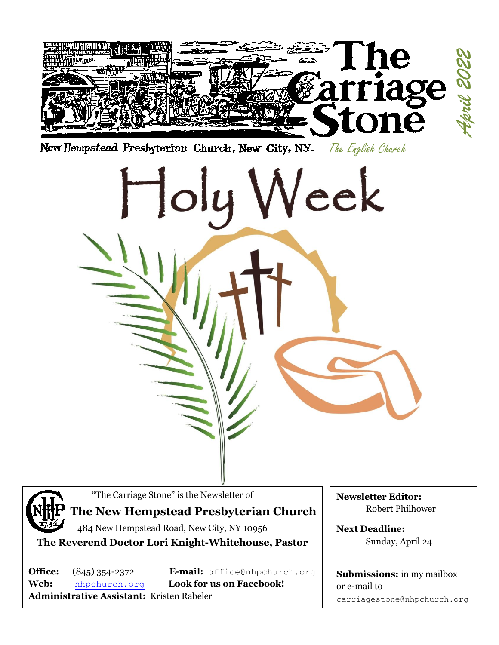



"The Carriage Stone" is the Newsletter of

# **The New Hempstead Presbyterian Church**

484 New Hempstead Road, New City, NY 10956 **The Reverend Doctor Lori Knight-Whitehouse, Pastor**

**Web:** [nhpchurch.org](http://nhpchurch.org/) **Look for us on Facebook! Administrative Assistant:** Kristen Rabeler

**Office:** (845) 354-2372 **E-mail:** [office@nhpchurch.org](mailto:NHPC2@yahoo.com)

**Newsletter Editor:** Robert Philhower

**Next Deadline:** Sunday, April 24

**Submissions:** in my mailbox or e-mail to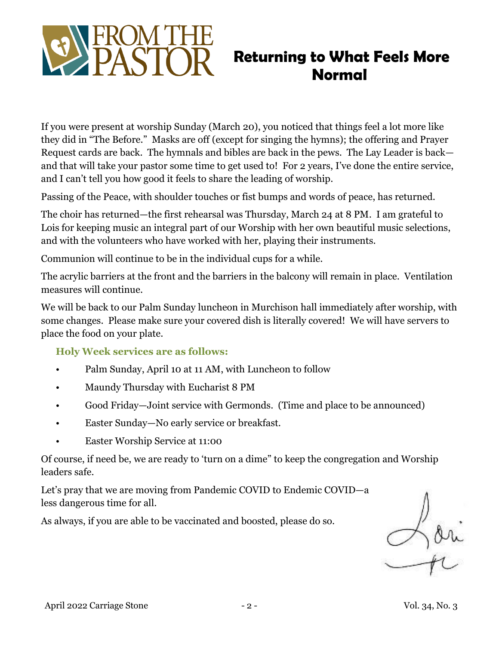

# **Returning to What Feels More Normal**

If you were present at worship Sunday (March 20), you noticed that things feel a lot more like they did in "The Before." Masks are off (except for singing the hymns); the offering and Prayer Request cards are back. The hymnals and bibles are back in the pews. The Lay Leader is back and that will take your pastor some time to get used to! For 2 years, I've done the entire service, and I can't tell you how good it feels to share the leading of worship.

Passing of the Peace, with shoulder touches or fist bumps and words of peace, has returned.

The choir has returned—the first rehearsal was Thursday, March 24 at 8 PM. I am grateful to Lois for keeping music an integral part of our Worship with her own beautiful music selections, and with the volunteers who have worked with her, playing their instruments.

Communion will continue to be in the individual cups for a while.

The acrylic barriers at the front and the barriers in the balcony will remain in place. Ventilation measures will continue.

We will be back to our Palm Sunday luncheon in Murchison hall immediately after worship, with some changes. Please make sure your covered dish is literally covered! We will have servers to place the food on your plate.

**Holy Week services are as follows:**

- Palm Sunday, April 10 at 11 AM, with Luncheon to follow
- Maundy Thursday with Eucharist 8 PM
- Good Friday—Joint service with Germonds. (Time and place to be announced)
- Easter Sunday—No early service or breakfast.
- Easter Worship Service at 11:00

Of course, if need be, we are ready to 'turn on a dime" to keep the congregation and Worship leaders safe.

Let's pray that we are moving from Pandemic COVID to Endemic COVID—a less dangerous time for all.

As always, if you are able to be vaccinated and boosted, please do so.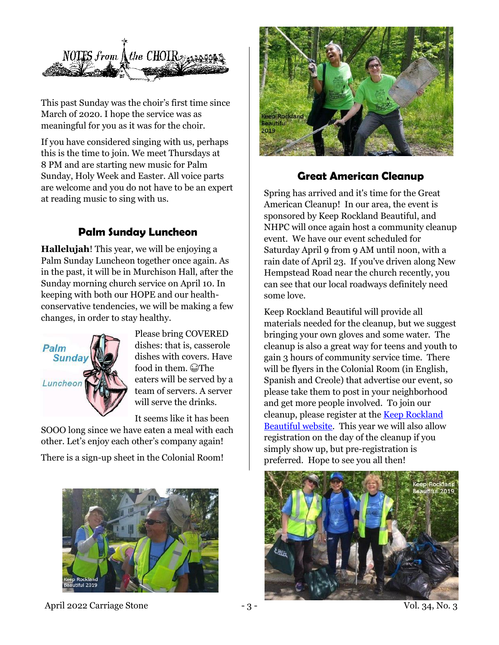

This past Sunday was the choir's first time since March of 2020. I hope the service was as meaningful for you as it was for the choir.

If you have considered singing with us, perhaps this is the time to join. We meet Thursdays at 8 PM and are starting new music for Palm Sunday, Holy Week and Easter. All voice parts are welcome and you do not have to be an expert at reading music to sing with us.

## **Palm Sunday Luncheon**

**Hallelujah**! This year, we will be enjoying a Palm Sunday Luncheon together once again. As in the past, it will be in Murchison Hall, after the Sunday morning church service on April 10. In keeping with both our HOPE and our healthconservative tendencies, we will be making a few changes, in order to stay healthy.



Please bring COVERED dishes: that is, casserole dishes with covers. Have food in them.  $\widehat{\omega}$ The eaters will be served by a team of servers. A server will serve the drinks.

It seems like it has been

SOOO long since we have eaten a meal with each other. Let's enjoy each other's company again!

There is a sign-up sheet in the Colonial Room!



April 2022 Carriage Stone - 3 - 3 - Vol. 34, No. 3



#### **Great American Cleanup**

Spring has arrived and it's time for the Great American Cleanup! In our area, the event is sponsored by Keep Rockland Beautiful, and NHPC will once again host a community cleanup event. We have our event scheduled for Saturday April 9 from 9 AM until noon, with a rain date of April 23. If you've driven along New Hempstead Road near the church recently, you can see that our local roadways definitely need some love.

Keep Rockland Beautiful will provide all materials needed for the cleanup, but we suggest bringing your own gloves and some water. The cleanup is also a great way for teens and youth to gain 3 hours of community service time. There will be flyers in the Colonial Room (in English, Spanish and Creole) that advertise our event, so please take them to post in your neighborhood and get more people involved. To join our cleanup, please register at th[e Keep Rockland](https://keeprocklandbeautiful.org/cleanup-registration)  [Beautiful website.](https://keeprocklandbeautiful.org/cleanup-registration) This year we will also allow registration on the day of the cleanup if you simply show up, but pre-registration is preferred. Hope to see you all then!

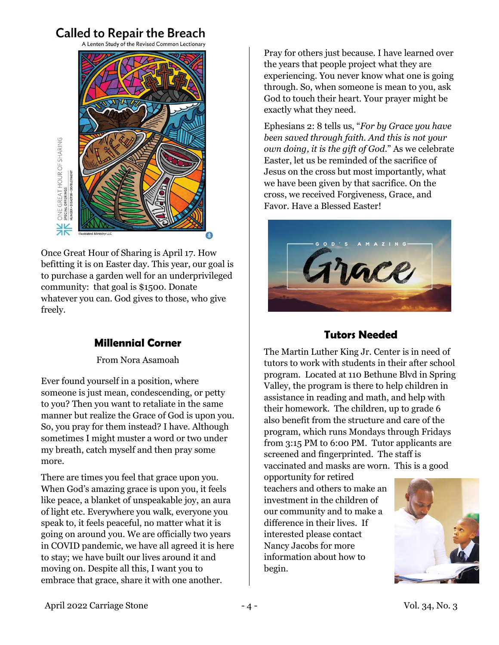# **Called to Repair the Breach**

A Lenten Study of the Revised Common Lectionary



Once Great Hour of Sharing is April 17. How befitting it is on Easter day. This year, our goal is to purchase a garden well for an underprivileged community: that goal is \$1500. Donate whatever you can. God gives to those, who give freely.

### **Millennial Corner**

From Nora Asamoah

Ever found yourself in a position, where someone is just mean, condescending, or petty to you? Then you want to retaliate in the same manner but realize the Grace of God is upon you. So, you pray for them instead? I have. Although sometimes I might muster a word or two under my breath, catch myself and then pray some more.

There are times you feel that grace upon you. When God's amazing grace is upon you, it feels like peace, a blanket of unspeakable joy, an aura of light etc. Everywhere you walk, everyone you speak to, it feels peaceful, no matter what it is going on around you. We are officially two years in COVID pandemic, we have all agreed it is here to stay; we have built our lives around it and moving on. Despite all this, I want you to embrace that grace, share it with one another.

Pray for others just because. I have learned over the years that people project what they are experiencing. You never know what one is going through. So, when someone is mean to you, ask God to touch their heart. Your prayer might be exactly what they need.

Ephesians 2: 8 tells us, "*For by Grace you have been saved through faith. And this is not your own doing, it is the gift of God*." As we celebrate Easter, let us be reminded of the sacrifice of Jesus on the cross but most importantly, what we have been given by that sacrifice. On the cross, we received Forgiveness, Grace, and Favor. Have a Blessed Easter!



# **Tutors Needed**

The Martin Luther King Jr. Center is in need of tutors to work with students in their after school program. Located at 110 Bethune Blvd in Spring Valley, the program is there to help children in assistance in reading and math, and help with their homework. The children, up to grade 6 also benefit from the structure and care of the program, which runs Mondays through Fridays from 3:15 PM to 6:00 PM. Tutor applicants are screened and fingerprinted. The staff is vaccinated and masks are worn. This is a good

opportunity for retired teachers and others to make an investment in the children of our community and to make a difference in their lives. If interested please contact Nancy Jacobs for more information about how to begin.